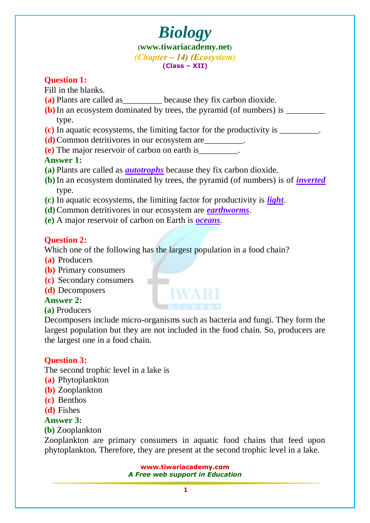### **Question 1:**

Fill in the blanks.

- **(a)** Plants are called as because they fix carbon dioxide.
- **(b)**In an ecosystem dominated by trees, the pyramid (of numbers) is \_\_\_\_\_\_\_\_\_ type.
- **(c)** In aquatic ecosystems, the limiting factor for the productivity is \_\_\_\_\_\_\_\_\_.
- **(d)**Common detritivores in our ecosystem are\_\_\_\_\_\_\_\_\_.
- **(e)** The major reservoir of carbon on earth is\_\_\_\_\_\_\_\_\_.

## **Answer 1:**

- **(a)** Plants are called as *autotrophs* because they fix carbon dioxide.
- **(b)**In an ecosystem dominated by trees, the pyramid (of numbers) is of *inverted* type.
- **(c)** In aquatic ecosystems, the limiting factor for productivity is *light*.
- **(d)**Common detritivores in our ecosystem are *earthworms*.

m

**(e)** A major reservoir of carbon on Earth is *oceans*.

## **Question 2:**

Which one of the following has the largest population in a food chain?

- **(a)** Producers
- **(b)** Primary consumers
- **(c)** Secondary consumers
- **(d)** Decomposers

## **Answer 2:**

**(a)** Producers

Decomposers include micro-organisms such as bacteria and fungi. They form the largest population but they are not included in the food chain. So, producers are the largest one in a food chain.

## **Question 3:**

The second trophic level in a lake is

- **(a)** Phytoplankton
- **(b)** Zooplankton
- **(c)** Benthos
- **(d)** Fishes

## **Answer 3:**

**(b)** Zooplankton

Zooplankton are primary consumers in aquatic food chains that feed upon phytoplankton. Therefore, they are present at the second trophic level in a lake.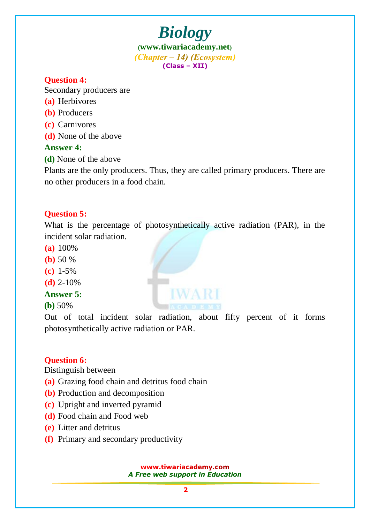### **Question 4:**

Secondary producers are

- **(a)** Herbivores
- **(b)** Producers
- **(c)** Carnivores
- **(d)** None of the above

### **Answer 4:**

**(d)** None of the above

Plants are the only producers. Thus, they are called primary producers. There are no other producers in a food chain.

### **Question 5:**

What is the percentage of photosynthetically active radiation (PAR), in the incident solar radiation.

- **(a)** 100%
- **(b)** 50 %
- **(c)** 1-5%
- **(d)** 2-10%

### **Answer 5:**

**(b)** 50%

Out of total incident solar radiation, about fifty percent of it forms photosynthetically active radiation or PAR.

### **Question 6:**

Distinguish between

- **(a)** Grazing food chain and detritus food chain
- **(b)** Production and decomposition
- **(c)** Upright and inverted pyramid
- **(d)** Food chain and Food web
- **(e)** Litter and detritus
- **(f)** Primary and secondary productivity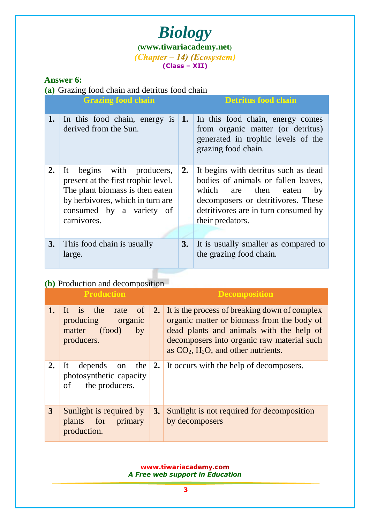### **Answer 6:**

**(a)** Grazing food chain and detritus food chain

|    | <b>Grazing food chain</b>                                                                                                                                                          |    | <b>Detritus food chain</b>                                                                                                                                                                                  |
|----|------------------------------------------------------------------------------------------------------------------------------------------------------------------------------------|----|-------------------------------------------------------------------------------------------------------------------------------------------------------------------------------------------------------------|
| 1. | In this food chain, energy is<br>derived from the Sun.                                                                                                                             | 1. | In this food chain, energy comes<br>from organic matter (or detritus)<br>generated in trophic levels of the<br>grazing food chain.                                                                          |
| 2. | It begins with producers,<br>present at the first trophic level.<br>The plant biomass is then eaten<br>by herbivores, which in turn are<br>consumed by a variety of<br>carnivores. | 2. | It begins with detritus such as dead<br>bodies of animals or fallen leaves,<br>which are then eaten<br>by<br>decomposers or detritivores. These<br>detritivores are in turn consumed by<br>their predators. |
| 3. | This food chain is usually<br>large.                                                                                                                                               | 3. | It is usually smaller as compared to<br>the grazing food chain.                                                                                                                                             |

### **(b)** Production and decomposition

| <b>Production</b> |                                                                                         |    | <b>Decomposition</b>                                                                                                                                                                                                                          |  |  |
|-------------------|-----------------------------------------------------------------------------------------|----|-----------------------------------------------------------------------------------------------------------------------------------------------------------------------------------------------------------------------------------------------|--|--|
| 1.                | It is the<br>of<br>rate<br>producing<br>organic<br>(food)<br>by<br>matter<br>producers. |    | 2. It is the process of breaking down of complex<br>organic matter or biomass from the body of<br>dead plants and animals with the help of<br>decomposers into organic raw material such<br>as $CO2$ , H <sub>2</sub> O, and other nutrients. |  |  |
| 2.                | depends on the<br>It<br>photosynthetic capacity<br>the producers.<br>of                 |    | 2. It occurs with the help of decomposers.                                                                                                                                                                                                    |  |  |
| 3                 | Sunlight is required by<br>plants for primary<br>production.                            | 3. | Sunlight is not required for decomposition<br>by decomposers                                                                                                                                                                                  |  |  |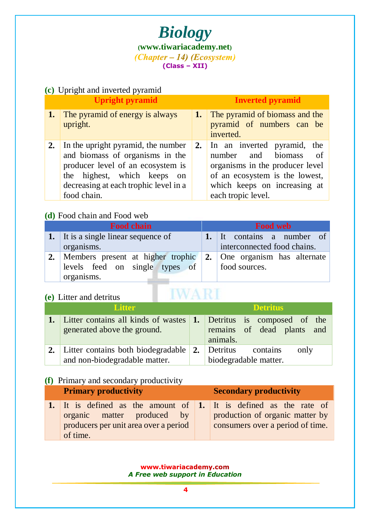

### **(c)** Upright and inverted pyramid

|    | <b>Upright pyramid</b>                                                                                                                                                                               | <b>Inverted pyramid</b>                                                                                                                                                                        |
|----|------------------------------------------------------------------------------------------------------------------------------------------------------------------------------------------------------|------------------------------------------------------------------------------------------------------------------------------------------------------------------------------------------------|
| 1. | The pyramid of energy is always<br>upright.                                                                                                                                                          | <b>1.</b> The pyramid of biomass and the<br>pyramid of numbers can be<br>inverted.                                                                                                             |
| 2. | In the upright pyramid, the number<br>and biomass of organisms in the<br>producer level of an ecosystem is<br>the highest, which keeps<br>on<br>decreasing at each trophic level in a<br>food chain. | <b>2.</b> In an inverted pyramid, the<br>number and biomass<br>- of<br>organisms in the producer level<br>of an ecosystem is the lowest,<br>which keeps on increasing at<br>each tropic level. |

## **(d)** Food chain and Food web

| <b>Food chain</b>                                                          | <b>Food web</b> |                             |  |
|----------------------------------------------------------------------------|-----------------|-----------------------------|--|
| 1. It is a single linear sequence of                                       |                 | 1. It contains a number of  |  |
| organisms.                                                                 |                 | interconnected food chains. |  |
| 2. Members present at higher trophic $\vert$ 2. One organism has alternate |                 |                             |  |
| levels feed on single types of                                             |                 | food sources.               |  |
| organisms.                                                                 |                 |                             |  |

### **(e)** Litter and detritus

| <b>Alitter</b>                                                                                       | <b>Detritus</b>                                    |
|------------------------------------------------------------------------------------------------------|----------------------------------------------------|
| 1. Litter contains all kinds of wastes 1. Detritus is composed of the<br>generated above the ground. | remains of dead plants and<br>animals.             |
| 2. Litter contains both biodegradable $\vert$ 2.<br>and non-biodegradable matter.                    | Detritus contains<br>only<br>biodegradable matter. |

**IWARI** 

### **(f)** Primary and secondary productivity

| <b>Primary productivity</b>                                                                                                                      | <b>Secondary productivity</b>                                       |  |  |
|--------------------------------------------------------------------------------------------------------------------------------------------------|---------------------------------------------------------------------|--|--|
| 1. It is defined as the amount of $\vert$ 1. It is defined as the rate of<br>organic matter produced by<br>producers per unit area over a period | production of organic matter by<br>consumers over a period of time. |  |  |
| of time.                                                                                                                                         |                                                                     |  |  |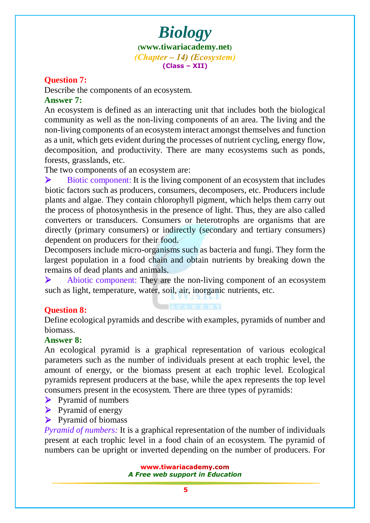### **Question 7:**

Describe the components of an ecosystem.

### **Answer 7:**

An ecosystem is defined as an interacting unit that includes both the biological community as well as the non-living components of an area. The living and the non-living components of an ecosystem interact amongst themselves and function as a unit, which gets evident during the processes of nutrient cycling, energy flow, decomposition, and productivity. There are many ecosystems such as ponds, forests, grasslands, etc.

The two components of an ecosystem are:

 $\triangleright$  Biotic component: It is the living component of an ecosystem that includes biotic factors such as producers, consumers, decomposers, etc. Producers include plants and algae. They contain chlorophyll pigment, which helps them carry out the process of photosynthesis in the presence of light. Thus, they are also called converters or transducers. Consumers or heterotrophs are organisms that are directly (primary consumers) or indirectly (secondary and tertiary consumers) dependent on producers for their food.

Decomposers include micro-organisms such as bacteria and fungi. They form the largest population in a food chain and obtain nutrients by breaking down the remains of dead plants and animals.

 $\triangleright$  Abiotic component: They are the non-living component of an ecosystem such as light, temperature, water, soil, air, inorganic nutrients, etc.

### **Question 8:**

Define ecological pyramids and describe with examples, pyramids of number and biomass.

### **Answer 8:**

An ecological pyramid is a graphical representation of various ecological parameters such as the number of individuals present at each trophic level, the amount of energy, or the biomass present at each trophic level. Ecological pyramids represent producers at the base, while the apex represents the top level consumers present in the ecosystem. There are three types of pyramids:

- $\triangleright$  Pyramid of numbers
- $\triangleright$  Pyramid of energy
- $\triangleright$  Pyramid of biomass

*Pyramid of numbers:* It is a graphical representation of the number of individuals present at each trophic level in a food chain of an ecosystem. The pyramid of numbers can be upright or inverted depending on the number of producers. For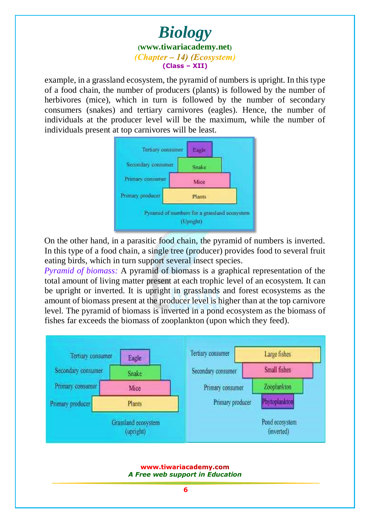example, in a grassland ecosystem, the pyramid of numbers is upright. In this type of a food chain, the number of producers (plants) is followed by the number of herbivores (mice), which in turn is followed by the number of secondary consumers (snakes) and tertiary carnivores (eagles). Hence, the number of individuals at the producer level will be the maximum, while the number of individuals present at top carnivores will be least.



On the other hand, in a parasitic food chain, the pyramid of numbers is inverted. In this type of a food chain, a single tree (producer) provides food to several fruit eating birds, which in turn support several insect species.

*Pyramid of biomass:* A pyramid of biomass is a graphical representation of the total amount of living matter present at each trophic level of an ecosystem. It can be upright or inverted. It is upright in grasslands and forest ecosystems as the amount of biomass present at the producer level is higher than at the top carnivore level. The pyramid of biomass is inverted in a pond ecosystem as the biomass of fishes far exceeds the biomass of zooplankton (upon which they feed).

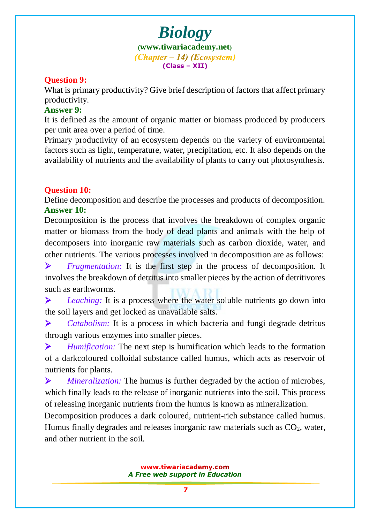### **Question 9:**

What is primary productivity? Give brief description of factors that affect primary productivity.

### **Answer 9:**

It is defined as the amount of organic matter or biomass produced by producers per unit area over a period of time.

Primary productivity of an ecosystem depends on the variety of environmental factors such as light, temperature, water, precipitation, etc. It also depends on the availability of nutrients and the availability of plants to carry out photosynthesis.

#### **Question 10:**

Define decomposition and describe the processes and products of decomposition. **Answer 10:**

Decomposition is the process that involves the breakdown of complex organic matter or biomass from the body of dead plants and animals with the help of decomposers into inorganic raw materials such as carbon dioxide, water, and other nutrients. The various processes involved in decomposition are as follows:

 *Fragmentation:* It is the first step in the process of decomposition. It involves the breakdown of detritus into smaller pieces by the action of detritivores such as earthworms.

**Example 2** Leaching: It is a process where the water soluble nutrients go down into the soil layers and get locked as unavailable salts.

 *Catabolism:* It is a process in which bacteria and fungi degrade detritus through various enzymes into smaller pieces.

 *Humification:* The next step is humification which leads to the formation of a darkcoloured colloidal substance called humus, which acts as reservoir of nutrients for plants.

 *Mineralization:* The humus is further degraded by the action of microbes, which finally leads to the release of inorganic nutrients into the soil. This process of releasing inorganic nutrients from the humus is known as mineralization.

Decomposition produces a dark coloured, nutrient-rich substance called humus. Humus finally degrades and releases inorganic raw materials such as  $CO<sub>2</sub>$ , water, and other nutrient in the soil.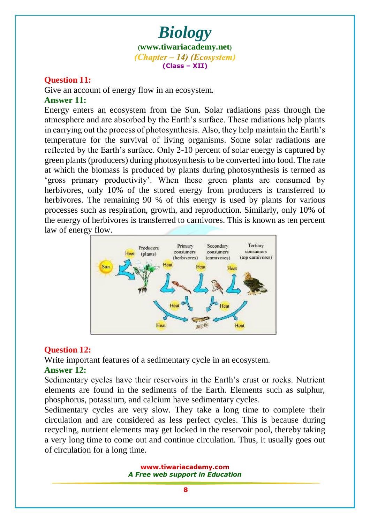### **Question 11:**

Give an account of energy flow in an ecosystem. **Answer 11:**

Energy enters an ecosystem from the Sun. Solar radiations pass through the atmosphere and are absorbed by the Earth's surface. These radiations help plants in carrying out the process of photosynthesis. Also, they help maintain the Earth's temperature for the survival of living organisms. Some solar radiations are reflected by the Earth's surface. Only 2-10 percent of solar energy is captured by green plants (producers) during photosynthesis to be converted into food. The rate at which the biomass is produced by plants during photosynthesis is termed as 'gross primary productivity'. When these green plants are consumed by herbivores, only 10% of the stored energy from producers is transferred to herbivores. The remaining 90 % of this energy is used by plants for various processes such as respiration, growth, and reproduction. Similarly, only 10% of the energy of herbivores is transferred to carnivores. This is known as ten percent law of energy flow.



### **Question 12:**

Write important features of a sedimentary cycle in an ecosystem.

### **Answer 12:**

Sedimentary cycles have their reservoirs in the Earth's crust or rocks. Nutrient elements are found in the sediments of the Earth. Elements such as sulphur, phosphorus, potassium, and calcium have sedimentary cycles.

Sedimentary cycles are very slow. They take a long time to complete their circulation and are considered as less perfect cycles. This is because during recycling, nutrient elements may get locked in the reservoir pool, thereby taking a very long time to come out and continue circulation. Thus, it usually goes out of circulation for a long time.